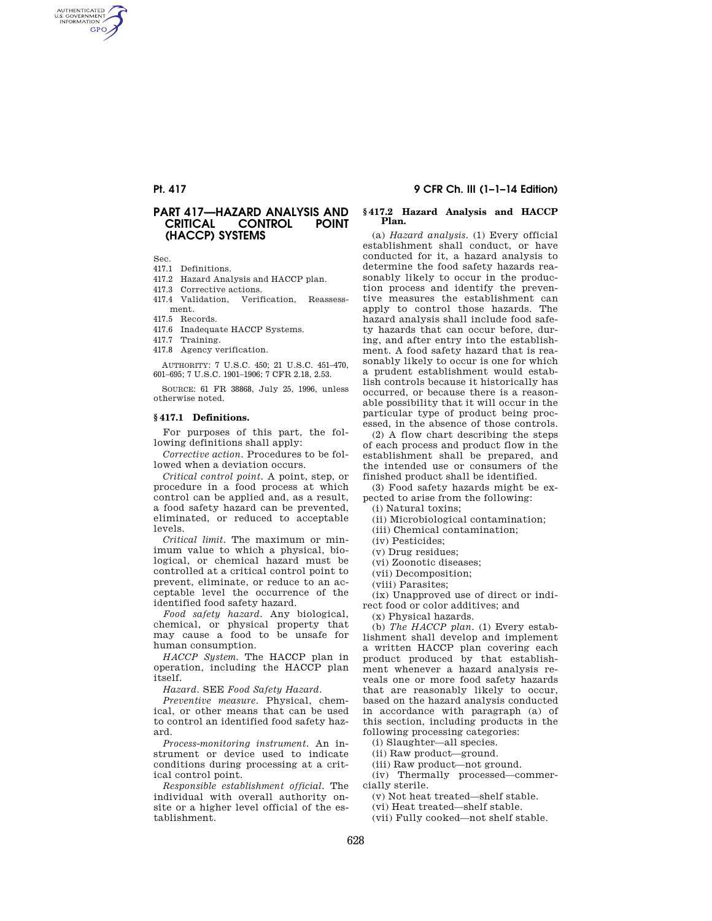AUTHENTICATED<br>U.S. GOVERNMENT<br>INFORMATION **GPO** 

# PART 417—HAZARD ANALYSIS AND **CRITICAL** (HACCP) SYSTEMS

Sec.

- 417.1 Definitions.
- 417.2 Hazard Analysis and HACCP plan.
- 417.3 Corrective actions.
- 417.4 Validation, Verification, Reassessment.
- 417.5 Records.
- 417.6 Inadequate HACCP Systems.
- 417.7 Training.
- 417.8 Agency verification.

AUTHORITY: 7 U.S.C. 450; 21 U.S.C. 451–470, 601–695; 7 U.S.C. 1901–1906; 7 CFR 2.18, 2.53.

SOURCE: 61 FR 38868, July 25, 1996, unless otherwise noted.

# **§ 417.1 Definitions.**

For purposes of this part, the following definitions shall apply:

*Corrective action.* Procedures to be followed when a deviation occurs.

*Critical control point.* A point, step, or procedure in a food process at which control can be applied and, as a result, a food safety hazard can be prevented, eliminated, or reduced to acceptable levels.

*Critical limit.* The maximum or minimum value to which a physical, biological, or chemical hazard must be controlled at a critical control point to prevent, eliminate, or reduce to an acceptable level the occurrence of the identified food safety hazard.

*Food safety hazard.* Any biological, chemical, or physical property that may cause a food to be unsafe for human consumption.

*HACCP System.* The HACCP plan in operation, including the HACCP plan itself.

*Hazard.* SEE *Food Safety Hazard*.

*Preventive measure.* Physical, chemical, or other means that can be used to control an identified food safety hazard.

*Process-monitoring instrument.* An instrument or device used to indicate conditions during processing at a critical control point.

*Responsible establishment official.* The individual with overall authority onsite or a higher level official of the establishment.

# Pt. 417 9 CFR Ch. III (1–1–14 Edition)

# **§ 417.2 Hazard Analysis and HACCP Plan.**

(a) *Hazard analysis.* (1) Every official establishment shall conduct, or have conducted for it, a hazard analysis to determine the food safety hazards reasonably likely to occur in the production process and identify the preventive measures the establishment can apply to control those hazards. The hazard analysis shall include food safety hazards that can occur before, during, and after entry into the establishment. A food safety hazard that is reasonably likely to occur is one for which a prudent establishment would establish controls because it historically has occurred, or because there is a reasonable possibility that it will occur in the particular type of product being processed, in the absence of those controls.

(2) A flow chart describing the steps of each process and product flow in the establishment shall be prepared, and the intended use or consumers of the finished product shall be identified.

(3) Food safety hazards might be expected to arise from the following:

(i) Natural toxins;

(ii) Microbiological contamination;

(iii) Chemical contamination;

(iv) Pesticides;

(v) Drug residues;

(vi) Zoonotic diseases;

(vii) Decomposition;

(viii) Parasites;

(ix) Unapproved use of direct or indirect food or color additives; and

(x) Physical hazards.

(b) *The HACCP plan.* (1) Every establishment shall develop and implement a written HACCP plan covering each product produced by that establishment whenever a hazard analysis reveals one or more food safety hazards that are reasonably likely to occur, based on the hazard analysis conducted in accordance with paragraph (a) of this section, including products in the following processing categories:

(i) Slaughter—all species.

(ii) Raw product—ground.

(iii) Raw product—not ground.

(iv) Thermally processed—commercially sterile.

(v) Not heat treated—shelf stable.

(vi) Heat treated—shelf stable.

(vii) Fully cooked—not shelf stable.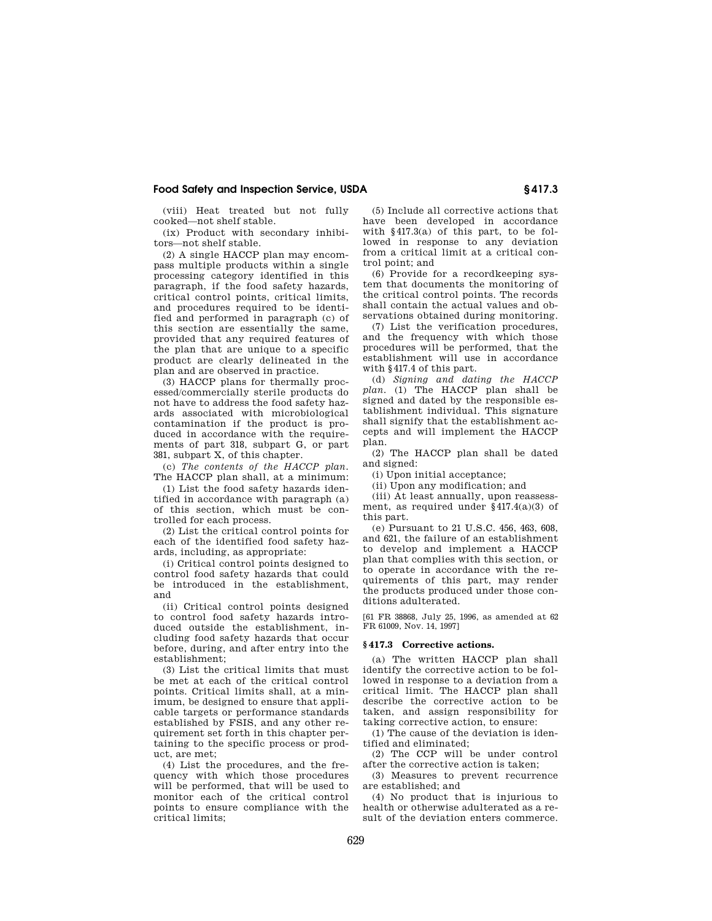# Food Safety and Inspection Service, USDA § 417.3

(viii) Heat treated but not fully cooked—not shelf stable.

(ix) Product with secondary inhibitors—not shelf stable.

(2) A single HACCP plan may encompass multiple products within a single processing category identified in this paragraph, if the food safety hazards, critical control points, critical limits, and procedures required to be identified and performed in paragraph (c) of this section are essentially the same, provided that any required features of the plan that are unique to a specific product are clearly delineated in the plan and are observed in practice.

(3) HACCP plans for thermally processed/commercially sterile products do not have to address the food safety hazards associated with microbiological contamination if the product is produced in accordance with the requirements of part 318, subpart G, or part 381, subpart X, of this chapter.

(c) *The contents of the HACCP plan.* The HACCP plan shall, at a minimum:

(1) List the food safety hazards identified in accordance with paragraph (a) of this section, which must be controlled for each process.

(2) List the critical control points for each of the identified food safety hazards, including, as appropriate:

(i) Critical control points designed to control food safety hazards that could be introduced in the establishment, and

(ii) Critical control points designed to control food safety hazards introduced outside the establishment, including food safety hazards that occur before, during, and after entry into the establishment;

(3) List the critical limits that must be met at each of the critical control points. Critical limits shall, at a minimum, be designed to ensure that applicable targets or performance standards established by FSIS, and any other requirement set forth in this chapter pertaining to the specific process or product, are met;

(4) List the procedures, and the frequency with which those procedures will be performed, that will be used to monitor each of the critical control points to ensure compliance with the .<br>critical limits:

(5) Include all corrective actions that have been developed in accordance with §417.3(a) of this part, to be followed in response to any deviation from a critical limit at a critical control point; and

(6) Provide for a recordkeeping system that documents the monitoring of the critical control points. The records shall contain the actual values and observations obtained during monitoring.

(7) List the verification procedures, and the frequency with which those procedures will be performed, that the establishment will use in accordance with §417.4 of this part.

(d) *Signing and dating the HACCP plan.* (1) The HACCP plan shall be signed and dated by the responsible establishment individual. This signature shall signify that the establishment accepts and will implement the HACCP plan.

(2) The HACCP plan shall be dated and signed:

(i) Upon initial acceptance;

(ii) Upon any modification; and

(iii) At least annually, upon reassessment, as required under §417.4(a)(3) of this part.

(e) Pursuant to 21 U.S.C. 456, 463, 608, and 621, the failure of an establishment to develop and implement a HACCP plan that complies with this section, or to operate in accordance with the requirements of this part, may render the products produced under those conditions adulterated.

[61 FR 38868, July 25, 1996, as amended at 62 FR 61009, Nov. 14, 1997]

## **§ 417.3 Corrective actions.**

(a) The written HACCP plan shall identify the corrective action to be followed in response to a deviation from a critical limit. The HACCP plan shall describe the corrective action to be taken, and assign responsibility for taking corrective action, to ensure:

(1) The cause of the deviation is identified and eliminated;

(2) The CCP will be under control after the corrective action is taken;

(3) Measures to prevent recurrence are established; and

(4) No product that is injurious to health or otherwise adulterated as a result of the deviation enters commerce.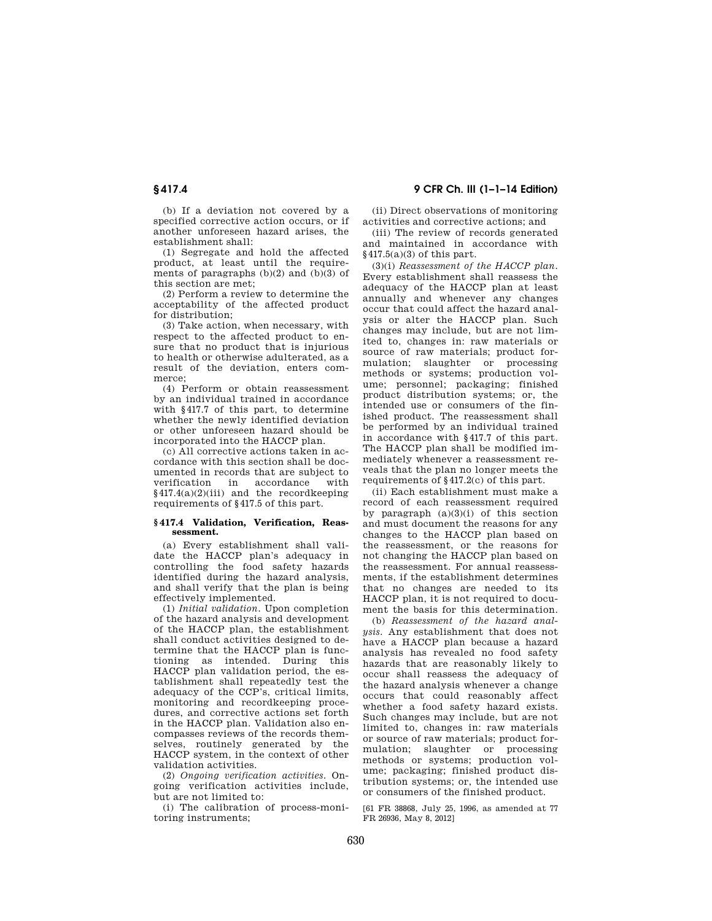(b) If a deviation not covered by a specified corrective action occurs, or if another unforeseen hazard arises, the establishment shall:

(1) Segregate and hold the affected product, at least until the requirements of paragraphs  $(b)(2)$  and  $(b)(3)$  of this section are met;

(2) Perform a review to determine the acceptability of the affected product for distribution;

(3) Take action, when necessary, with respect to the affected product to ensure that no product that is injurious to health or otherwise adulterated, as a result of the deviation, enters commerce;

(4) Perform or obtain reassessment by an individual trained in accordance with  $84177$  of this part, to determine whether the newly identified deviation or other unforeseen hazard should be incorporated into the HACCP plan.

(c) All corrective actions taken in accordance with this section shall be documented in records that are subject to<br>verification in accordance with verification in accordance §417.4(a)(2)(iii) and the recordkeeping requirements of §417.5 of this part.

### **§ 417.4 Validation, Verification, Reassessment.**

(a) Every establishment shall validate the HACCP plan's adequacy in controlling the food safety hazards identified during the hazard analysis, and shall verify that the plan is being effectively implemented.

(1) *Initial validation.* Upon completion of the hazard analysis and development of the HACCP plan, the establishment shall conduct activities designed to determine that the HACCP plan is functioning as intended. During this HACCP plan validation period, the establishment shall repeatedly test the adequacy of the CCP's, critical limits, monitoring and recordkeeping procedures, and corrective actions set forth in the HACCP plan. Validation also encompasses reviews of the records themselves, routinely generated by the HACCP system, in the context of other validation activities.

(2) *Ongoing verification activities.* Ongoing verification activities include, but are not limited to:

(i) The calibration of process-monitoring instruments;

# § 417.4 9 CFR Ch. III (1–1–14 Edition)

(ii) Direct observations of monitoring activities and corrective actions; and

(iii) The review of records generated and maintained in accordance with §417.5(a)(3) of this part.

(3)(i) *Reassessment of the HACCP plan.* Every establishment shall reassess the adequacy of the HACCP plan at least annually and whenever any changes occur that could affect the hazard analysis or alter the HACCP plan. Such changes may include, but are not limited to, changes in: raw materials or source of raw materials; product formulation; slaughter or processing methods or systems; production volume; personnel; packaging; finished product distribution systems; or, the intended use or consumers of the finished product. The reassessment shall be performed by an individual trained in accordance with §417.7 of this part. The HACCP plan shall be modified immediately whenever a reassessment reveals that the plan no longer meets the requirements of §417.2(c) of this part.

(ii) Each establishment must make a record of each reassessment required by paragraph  $(a)(3)(i)$  of this section and must document the reasons for any changes to the HACCP plan based on the reassessment, or the reasons for not changing the HACCP plan based on the reassessment. For annual reassessments, if the establishment determines that no changes are needed to its HACCP plan, it is not required to document the basis for this determination.

(b) *Reassessment of the hazard analysis.* Any establishment that does not have a HACCP plan because a hazard analysis has revealed no food safety hazards that are reasonably likely to occur shall reassess the adequacy of the hazard analysis whenever a change occurs that could reasonably affect whether a food safety hazard exists. Such changes may include, but are not limited to, changes in: raw materials or source of raw materials; product formulation; slaughter or processing methods or systems; production volume; packaging; finished product distribution systems; or, the intended use or consumers of the finished product.

[61 FR 38868, July 25, 1996, as amended at 77 FR 26936, May 8, 2012]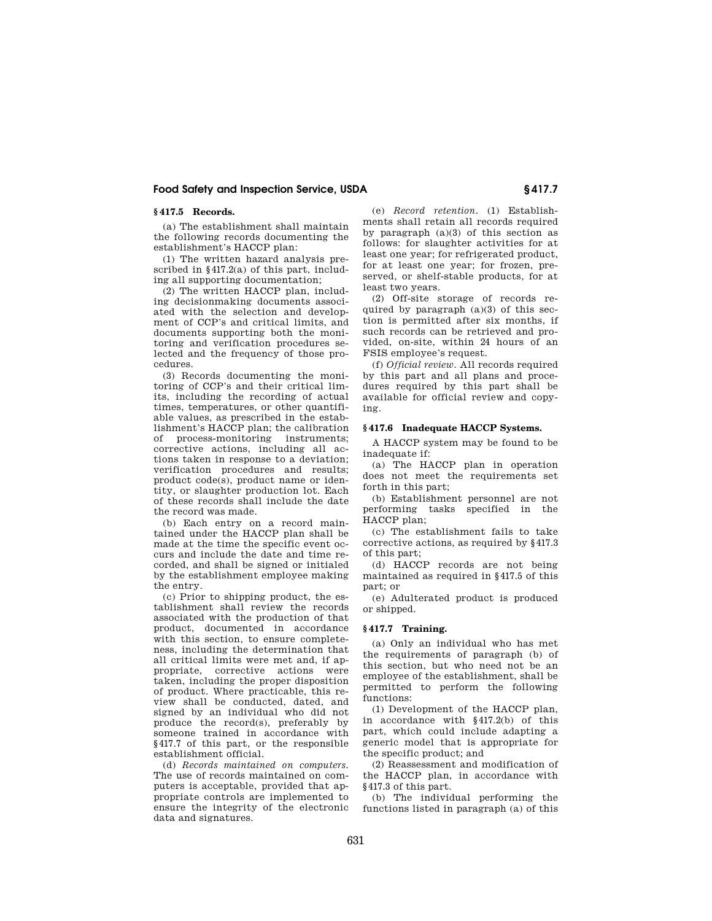# Food Safety and Inspection Service, USDA § 417.7

# **§ 417.5 Records.**

(a) The establishment shall maintain the following records documenting the establishment's HACCP plan:

(1) The written hazard analysis prescribed in §417.2(a) of this part, including all supporting documentation;

(2) The written HACCP plan, including decisionmaking documents associated with the selection and development of CCP's and critical limits, and documents supporting both the monitoring and verification procedures selected and the frequency of those procedures.

(3) Records documenting the monitoring of CCP's and their critical limits, including the recording of actual times, temperatures, or other quantifiable values, as prescribed in the establishment's HACCP plan; the calibration of process-monitoring instruments; corrective actions, including all actions taken in response to a deviation; verification procedures and results; product code(s), product name or identity, or slaughter production lot. Each of these records shall include the date the record was made.

(b) Each entry on a record maintained under the HACCP plan shall be made at the time the specific event occurs and include the date and time recorded, and shall be signed or initialed by the establishment employee making the entry.

(c) Prior to shipping product, the establishment shall review the records associated with the production of that product, documented in accordance with this section, to ensure completeness, including the determination that all critical limits were met and, if appropriate, corrective actions were taken, including the proper disposition of product. Where practicable, this review shall be conducted, dated, and signed by an individual who did not produce the record(s), preferably by someone trained in accordance with §417.7 of this part, or the responsible establishment official.

(d) *Records maintained on computers.* The use of records maintained on computers is acceptable, provided that appropriate controls are implemented to ensure the integrity of the electronic data and signatures.

(e) *Record retention.* (1) Establishments shall retain all records required by paragraph  $(a)(3)$  of this section as follows: for slaughter activities for at least one year; for refrigerated product, for at least one year; for frozen, preserved, or shelf-stable products, for at least two years.

(2) Off-site storage of records required by paragraph (a)(3) of this section is permitted after six months, if such records can be retrieved and provided, on-site, within 24 hours of an FSIS employee's request.

(f) *Official review.* All records required by this part and all plans and procedures required by this part shall be available for official review and copying.

# **§ 417.6 Inadequate HACCP Systems.**

A HACCP system may be found to be inadequate if:

(a) The HACCP plan in operation does not meet the requirements set forth in this part;

(b) Establishment personnel are not performing tasks specified in the HACCP plan;

(c) The establishment fails to take corrective actions, as required by §417.3 of this part;

(d) HACCP records are not being maintained as required in §417.5 of this part; or

(e) Adulterated product is produced or shipped.

# **§ 417.7 Training.**

(a) Only an individual who has met the requirements of paragraph (b) of this section, but who need not be an employee of the establishment, shall be permitted to perform the following functions:

(1) Development of the HACCP plan, in accordance with §417.2(b) of this part, which could include adapting a generic model that is appropriate for the specific product; and

(2) Reassessment and modification of the HACCP plan, in accordance with §417.3 of this part.

(b) The individual performing the functions listed in paragraph (a) of this